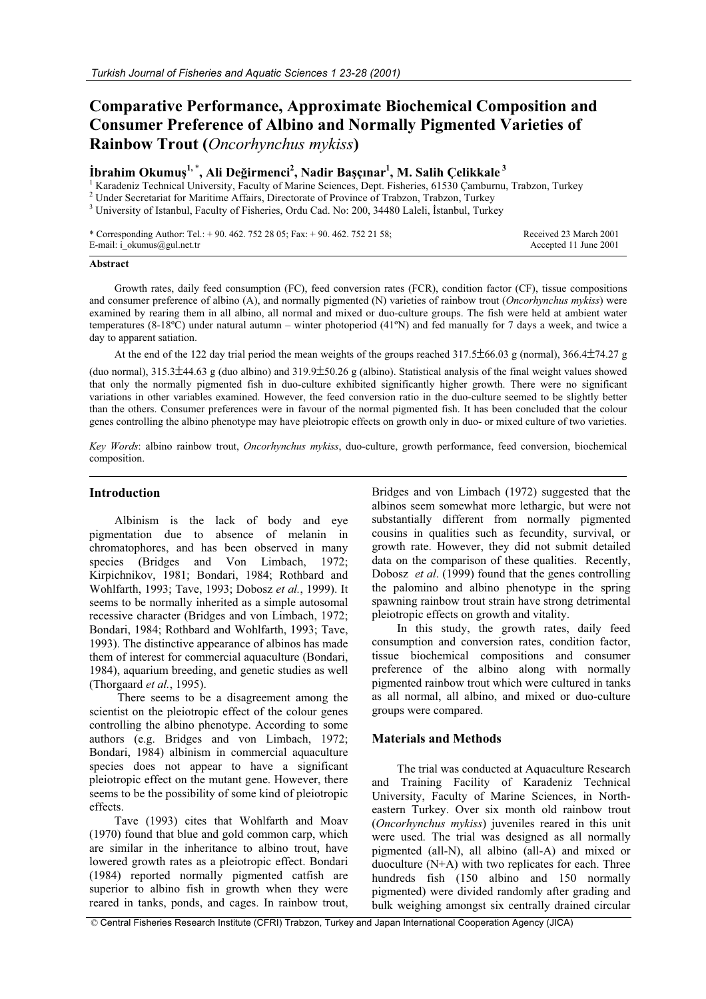# **Comparative Performance, Approximate Biochemical Composition and Consumer Preference of Albino and Normally Pigmented Varieties of Rainbow Trout (***Oncorhynchus mykiss***)**

## $\boldsymbol{\dot{a}}$  İbrahim Okumuş<sup>1, \*</sup>, Ali Değirmenci<sup>2</sup>, Nadir Başçınar<sup>1</sup>, M. Salih Çelikkale <sup>3</sup>

<sup>1</sup> Karadeniz Technical University, Faculty of Marine Sciences, Dept. Fisheries, 61530 Çamburnu, Trabzon, Turkey

<sup>2</sup> Under Secretariat for Maritime Affairs, Directorate of Province of Trabzon, Trabzon, Turkey

<sup>3</sup> University of Istanbul, Faculty of Fisheries, Ordu Cad. No: 200, 34480 Laleli, İstanbul, Turkey

\* Corresponding Author: Tel.: + 90. 462. 752 28 05; Fax: + 90. 462. 752 21 58; E-mail: i\_okumus@gul.net.tr

Received 23 March 2001 Accepted 11 June 2001

### **Abstract**

Growth rates, daily feed consumption (FC), feed conversion rates (FCR), condition factor (CF), tissue compositions and consumer preference of albino (A), and normally pigmented (N) varieties of rainbow trout (*Oncorhynchus mykiss*) were examined by rearing them in all albino, all normal and mixed or duo-culture groups. The fish were held at ambient water temperatures (8-18ºC) under natural autumn – winter photoperiod (41ºN) and fed manually for 7 days a week, and twice a day to apparent satiation.

At the end of the 122 day trial period the mean weights of the groups reached 317.5 $\pm$ 66.03 g (normal), 366.4 $\pm$ 74.27 g

(duo normal),  $315.3\pm44.63$  g (duo albino) and  $319.9\pm50.26$  g (albino). Statistical analysis of the final weight values showed that only the normally pigmented fish in duo-culture exhibited significantly higher growth. There were no significant variations in other variables examined. However, the feed conversion ratio in the duo-culture seemed to be slightly better than the others. Consumer preferences were in favour of the normal pigmented fish. It has been concluded that the colour genes controlling the albino phenotype may have pleiotropic effects on growth only in duo- or mixed culture of two varieties.

*Key Words*: albino rainbow trout, *Oncorhynchus mykiss*, duo-culture, growth performance, feed conversion, biochemical composition.

#### **Introduction**

Albinism is the lack of body and eye pigmentation due to absence of melanin in chromatophores, and has been observed in many species (Bridges and Von Limbach, 1972; Kirpichnikov, 1981; Bondari, 1984; Rothbard and Wohlfarth, 1993; Tave, 1993; Dobosz *et al.*, 1999). It seems to be normally inherited as a simple autosomal recessive character (Bridges and von Limbach, 1972; Bondari, 1984; Rothbard and Wohlfarth, 1993; Tave, 1993). The distinctive appearance of albinos has made them of interest for commercial aquaculture (Bondari, 1984), aquarium breeding, and genetic studies as well (Thorgaard *et al.*, 1995).

There seems to be a disagreement among the scientist on the pleiotropic effect of the colour genes controlling the albino phenotype. According to some authors (e.g. Bridges and von Limbach, 1972; Bondari, 1984) albinism in commercial aquaculture species does not appear to have a significant pleiotropic effect on the mutant gene. However, there seems to be the possibility of some kind of pleiotropic effects.

Tave (1993) cites that Wohlfarth and Moav (1970) found that blue and gold common carp, which are similar in the inheritance to albino trout, have lowered growth rates as a pleiotropic effect. Bondari (1984) reported normally pigmented catfish are superior to albino fish in growth when they were reared in tanks, ponds, and cages. In rainbow trout,

Bridges and von Limbach (1972) suggested that the albinos seem somewhat more lethargic, but were not substantially different from normally pigmented cousins in qualities such as fecundity, survival, or growth rate. However, they did not submit detailed data on the comparison of these qualities. Recently, Dobosz *et al*. (1999) found that the genes controlling the palomino and albino phenotype in the spring spawning rainbow trout strain have strong detrimental pleiotropic effects on growth and vitality.

In this study, the growth rates, daily feed consumption and conversion rates, condition factor, tissue biochemical compositions and consumer preference of the albino along with normally pigmented rainbow trout which were cultured in tanks as all normal, all albino, and mixed or duo-culture groups were compared.

#### **Materials and Methods**

The trial was conducted at Aquaculture Research and Training Facility of Karadeniz Technical University, Faculty of Marine Sciences, in Northeastern Turkey. Over six month old rainbow trout (*Oncorhynchus mykiss*) juveniles reared in this unit were used. The trial was designed as all normally pigmented (all-N), all albino (all-A) and mixed or duoculture (N+A) with two replicates for each. Three hundreds fish (150 albino and 150 normally pigmented) were divided randomly after grading and bulk weighing amongst six centrally drained circular

© Central Fisheries Research Institute (CFRI) Trabzon, Turkey and Japan International Cooperation Agency (JICA)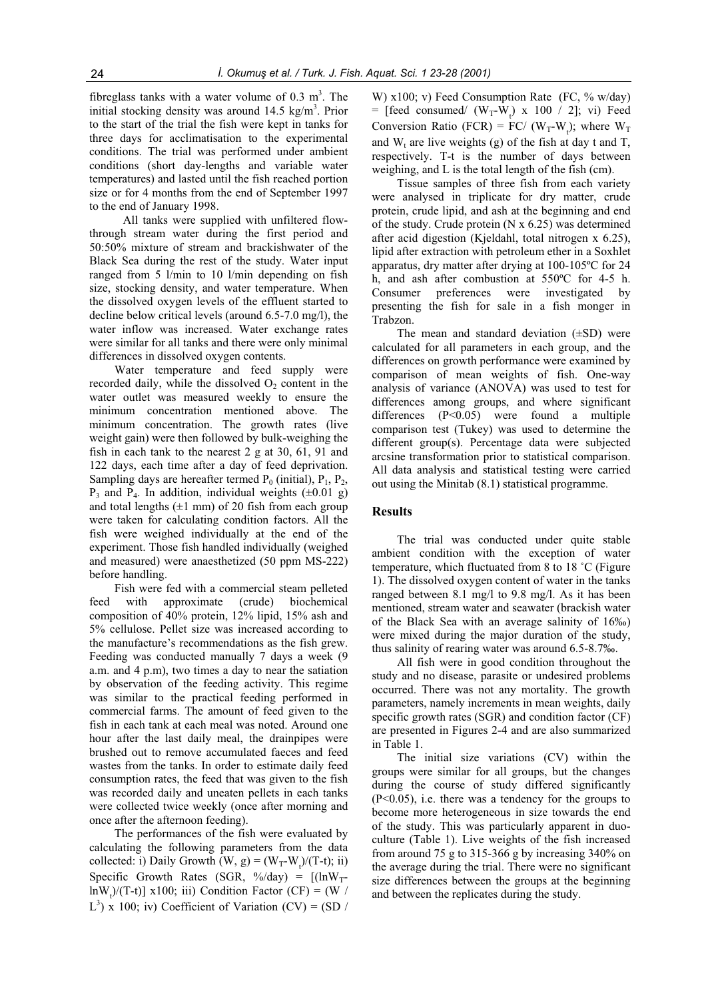fibreglass tanks with a water volume of  $0.3 \text{ m}^3$ . The initial stocking density was around  $14.5 \text{ kg/m}^3$ . Prior to the start of the trial the fish were kept in tanks for three days for acclimatisation to the experimental conditions. The trial was performed under ambient conditions (short day-lengths and variable water temperatures) and lasted until the fish reached portion size or for 4 months from the end of September 1997 to the end of January 1998.

All tanks were supplied with unfiltered flowthrough stream water during the first period and 50:50% mixture of stream and brackishwater of the Black Sea during the rest of the study. Water input ranged from 5 l/min to 10 l/min depending on fish size, stocking density, and water temperature. When the dissolved oxygen levels of the effluent started to decline below critical levels (around 6.5-7.0 mg/l), the water inflow was increased. Water exchange rates were similar for all tanks and there were only minimal differences in dissolved oxygen contents.

Water temperature and feed supply were recorded daily, while the dissolved  $O<sub>2</sub>$  content in the water outlet was measured weekly to ensure the minimum concentration mentioned above. The minimum concentration. The growth rates (live weight gain) were then followed by bulk-weighing the fish in each tank to the nearest 2 g at 30, 61, 91 and 122 days, each time after a day of feed deprivation. Sampling days are hereafter termed  $P_0$  (initial),  $P_1$ ,  $P_2$ ,  $P_3$  and  $P_4$ . In addition, individual weights ( $\pm 0.01$  g) and total lengths  $(\pm 1 \text{ mm})$  of 20 fish from each group were taken for calculating condition factors. All the fish were weighed individually at the end of the experiment. Those fish handled individually (weighed and measured) were anaesthetized (50 ppm MS-222) before handling.

Fish were fed with a commercial steam pelleted feed with approximate (crude) biochemical composition of 40% protein, 12% lipid, 15% ash and 5% cellulose. Pellet size was increased according to the manufacture's recommendations as the fish grew. Feeding was conducted manually 7 days a week (9 a.m. and 4 p.m), two times a day to near the satiation by observation of the feeding activity. This regime was similar to the practical feeding performed in commercial farms. The amount of feed given to the fish in each tank at each meal was noted. Around one hour after the last daily meal, the drainpipes were brushed out to remove accumulated faeces and feed wastes from the tanks. In order to estimate daily feed consumption rates, the feed that was given to the fish was recorded daily and uneaten pellets in each tanks were collected twice weekly (once after morning and once after the afternoon feeding).

The performances of the fish were evaluated by calculating the following parameters from the data collected: i) Daily Growth (W, g) =  $(W_T-W_t)/(T-t)$ ; ii) Specific Growth Rates (SGR,  $\%$ /day) =  $[(\ln W_T \ln W_t$ )/(T-t)] x100; iii) Condition Factor (CF) = (W /  $L^3$ ) x 100; iv) Coefficient of Variation (CV) = (SD /

W) x100; v) Feed Consumption Rate (FC, % w/day) = [feed consumed/  $(W_T-W_t)$  x 100 / 2]; vi) Feed Conversion Ratio (FCR) = FC/ ( $W_T-W_t$ ); where  $W_T$ and  $W_t$  are live weights (g) of the fish at day t and T, respectively. T-t is the number of days between weighing, and L is the total length of the fish (cm).

Tissue samples of three fish from each variety were analysed in triplicate for dry matter, crude protein, crude lipid, and ash at the beginning and end of the study. Crude protein (N x 6.25) was determined after acid digestion (Kjeldahl, total nitrogen x 6.25), lipid after extraction with petroleum ether in a Soxhlet apparatus, dry matter after drying at 100-105ºC for 24 h, and ash after combustion at 550ºC for 4-5 h. Consumer preferences were investigated by presenting the fish for sale in a fish monger in Trabzon.

The mean and standard deviation  $(\pm SD)$  were calculated for all parameters in each group, and the differences on growth performance were examined by comparison of mean weights of fish. One-way analysis of variance (ANOVA) was used to test for differences among groups, and where significant differences (P<0.05) were found a multiple comparison test (Tukey) was used to determine the different group(s). Percentage data were subjected arcsine transformation prior to statistical comparison. All data analysis and statistical testing were carried out using the Minitab (8.1) statistical programme.

### **Results**

The trial was conducted under quite stable ambient condition with the exception of water temperature, which fluctuated from 8 to 18 ˚C (Figure 1). The dissolved oxygen content of water in the tanks ranged between 8.1 mg/l to 9.8 mg/l. As it has been mentioned, stream water and seawater (brackish water of the Black Sea with an average salinity of 16‰) were mixed during the major duration of the study, thus salinity of rearing water was around 6.5-8.7‰.

All fish were in good condition throughout the study and no disease, parasite or undesired problems occurred. There was not any mortality. The growth parameters, namely increments in mean weights, daily specific growth rates (SGR) and condition factor (CF) are presented in Figures 2-4 and are also summarized in Table 1.

The initial size variations (CV) within the groups were similar for all groups, but the changes during the course of study differed significantly (P<0.05), i.e. there was a tendency for the groups to become more heterogeneous in size towards the end of the study. This was particularly apparent in duoculture (Table 1). Live weights of the fish increased from around 75 g to 315-366 g by increasing 340% on the average during the trial. There were no significant size differences between the groups at the beginning and between the replicates during the study.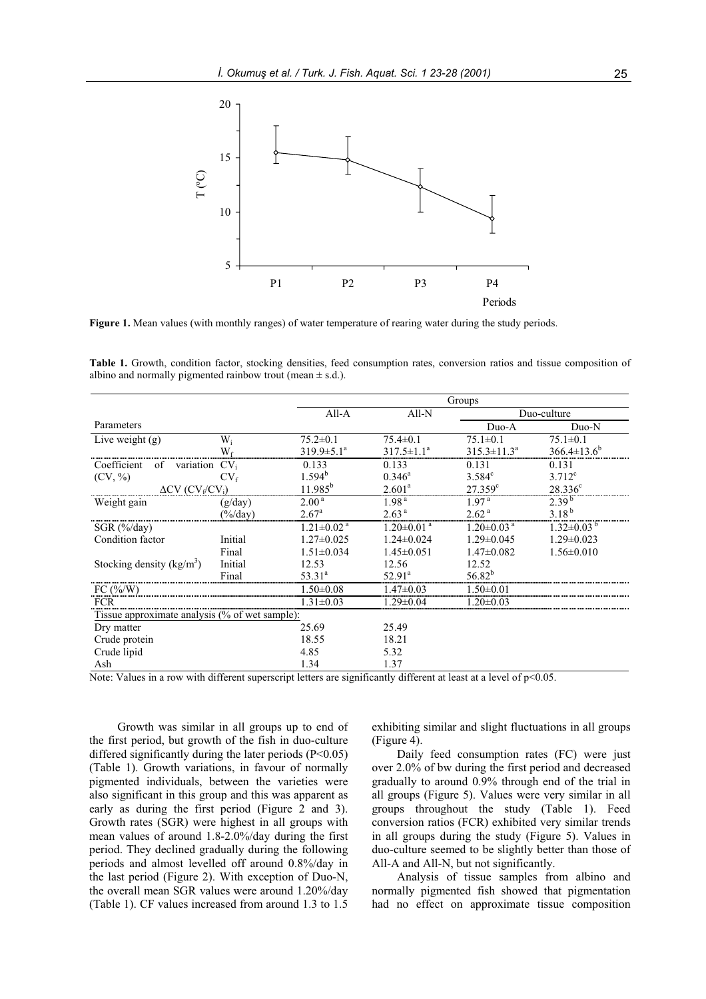

**Figure 1.** Mean values (with monthly ranges) of water temperature of rearing water during the study periods.

**Table 1.** Growth, condition factor, stocking densities, feed consumption rates, conversion ratios and tissue composition of albino and normally pigmented rainbow trout (mean  $\pm$  s.d.).

|                                                 |                   | Groups                       |                              |                              |                     |
|-------------------------------------------------|-------------------|------------------------------|------------------------------|------------------------------|---------------------|
|                                                 |                   | All-A                        | All-N                        | Duo-culture                  |                     |
| Parameters                                      |                   |                              |                              | Duo-A                        | Duo-N               |
| Live weight $(g)$                               | $W_i$             | $75.2 \pm 0.1$               | $75.4 \pm 0.1$               | $75.1 \pm 0.1$               | $75.1 \pm 0.1$      |
|                                                 | $\mathrm{W_{f}}$  | $319.9 \pm 5.1^a$            | $317.5 \pm 1.1^a$            | $315.3 \pm 11.3^a$           | $366.4 \pm 13.6^b$  |
| Coefficient<br>of<br>variation $CV_i$           |                   | 0.133                        | 0.133                        | 0.131                        | 0.131               |
| $(CV, \%)$                                      | $CV_{\rm f}$      | $1.594^{b}$                  | $0.346^a$                    | $3.584^{\circ}$              | $3.712^c$           |
| $\Delta CV$ (CV <sub>f</sub> /CV <sub>i</sub> ) |                   | $11.985^{b}$                 | 2.601 <sup>a</sup>           | $27.359^c$                   | $28.336^c$          |
| Weight gain                                     | (g/day)           | 2.00 <sup>a</sup>            | 1.98 <sup>a</sup>            | 1.97 <sup>a</sup>            | $2.39^{b}$          |
|                                                 | $(\frac{6}{day})$ | $2.67^{\circ}$               | 2.63 <sup>a</sup>            | 2.62 <sup>a</sup>            | $3.18^{b}$          |
| $SGR$ (%/day)                                   |                   | $1.21 \pm 0.02$ <sup>a</sup> | $1.20 \pm 0.01$ <sup>a</sup> | $1.20 \pm 0.03$ <sup>a</sup> | $1.32 \pm 0.03^{b}$ |
| Condition factor                                | Initial           | $1.27 \pm 0.025$             | $1.24 \pm 0.024$             | $1.29 \pm 0.045$             | $1.29 \pm 0.023$    |
|                                                 | Final             | $1.51 \pm 0.034$             | $1.45 \pm 0.051$             | $1.47 \pm 0.082$             | $1.56 \pm 0.010$    |
| Stocking density $(kg/m3)$                      | Initial           | 12.53                        | 12.56                        | 12.52                        |                     |
|                                                 | Final             | $53.31^{a}$                  | $52.91^a$                    | $56.82^{b}$                  |                     |
| FC $(\frac{\%}{W})$                             |                   | $1.50 \!\!\pm\! 0.08$        | $1.47 \pm 0.03$              | $1.50 \pm 0.01$              |                     |
| <b>FCR</b>                                      |                   | $1.31 \pm 0.03$              | $1.29 \pm 0.04$              | $1.20 \pm 0.03$              |                     |
| Tissue approximate analysis (% of wet sample):  |                   |                              |                              |                              |                     |
| Dry matter                                      |                   | 25.69                        | 25.49                        |                              |                     |
| Crude protein                                   |                   | 18.55                        | 18.21                        |                              |                     |
| Crude lipid                                     |                   | 4.85                         | 5.32                         |                              |                     |
| Ash                                             |                   | 1.34                         | 1.37                         |                              |                     |

Note: Values in a row with different superscript letters are significantly different at least at a level of  $p<0.05$ .

Growth was similar in all groups up to end of the first period, but growth of the fish in duo-culture differed significantly during the later periods  $(P<0.05)$ (Table 1). Growth variations, in favour of normally pigmented individuals, between the varieties were also significant in this group and this was apparent as early as during the first period (Figure 2 and 3). Growth rates (SGR) were highest in all groups with mean values of around 1.8-2.0%/day during the first period. They declined gradually during the following periods and almost levelled off around 0.8%/day in the last period (Figure 2). With exception of Duo-N, the overall mean SGR values were around 1.20%/day (Table 1). CF values increased from around 1.3 to 1.5

exhibiting similar and slight fluctuations in all groups (Figure 4).

Daily feed consumption rates (FC) were just over 2.0% of bw during the first period and decreased gradually to around 0.9% through end of the trial in all groups (Figure 5). Values were very similar in all groups throughout the study (Table 1). Feed conversion ratios (FCR) exhibited very similar trends in all groups during the study (Figure 5). Values in duo-culture seemed to be slightly better than those of All-A and All-N, but not significantly.

Analysis of tissue samples from albino and normally pigmented fish showed that pigmentation had no effect on approximate tissue composition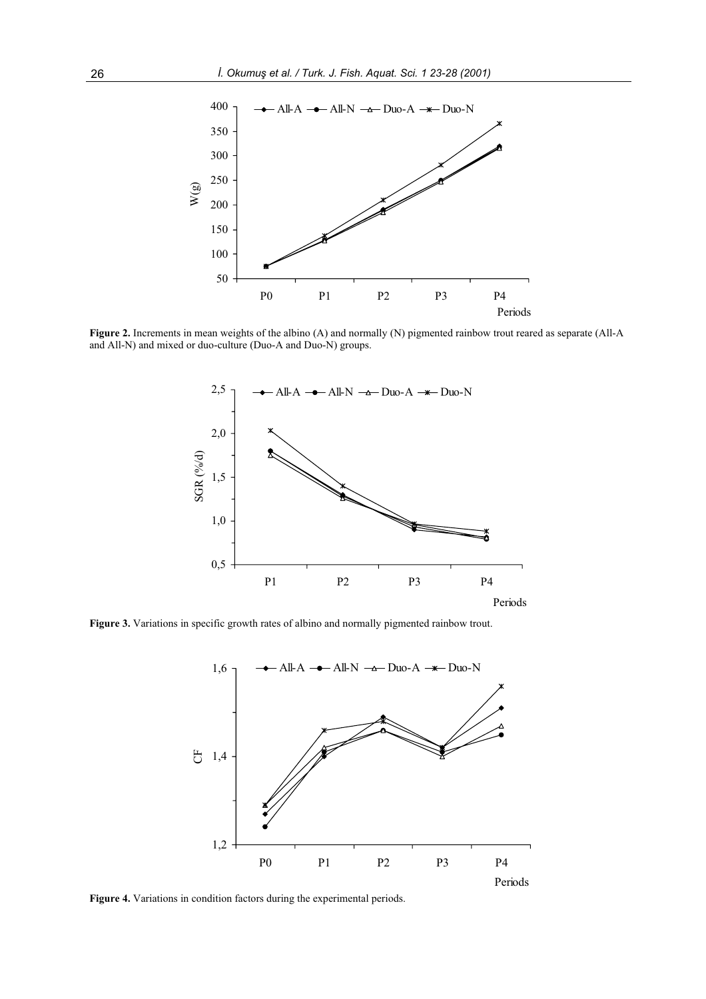

**Figure 2.** Increments in mean weights of the albino (A) and normally (N) pigmented rainbow trout reared as separate (All-A and All-N) and mixed or duo-culture (Duo-A and Duo-N) groups.



Figure 3. Variations in specific growth rates of albino and normally pigmented rainbow trout.



**Figure 4.** Variations in condition factors during the experimental periods.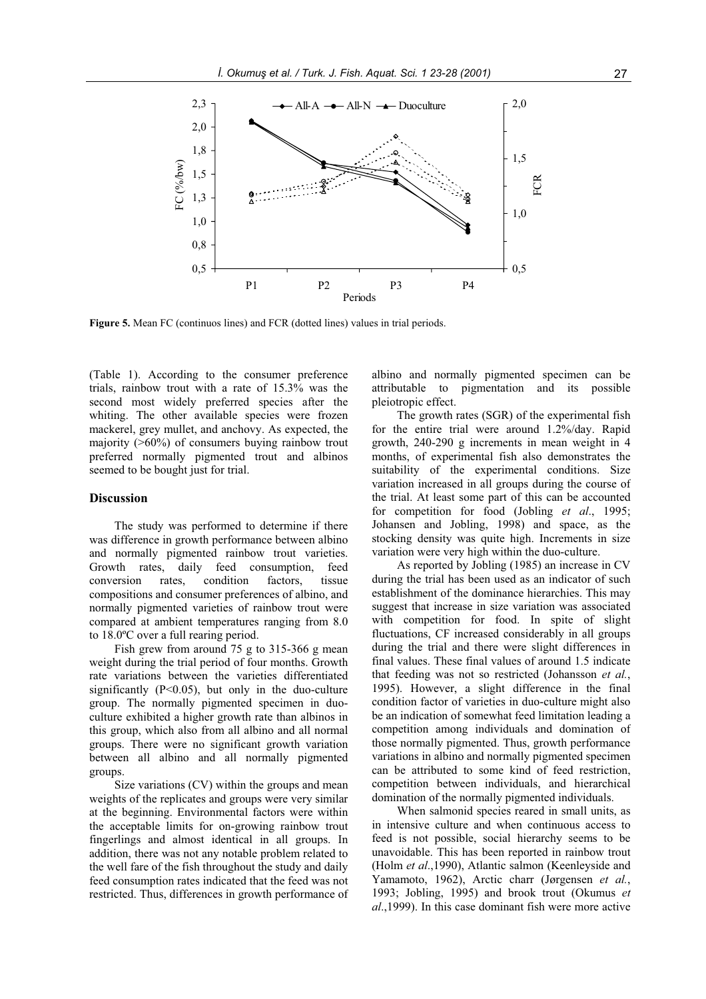

**Figure 5.** Mean FC (continuos lines) and FCR (dotted lines) values in trial periods.

(Table 1). According to the consumer preference trials, rainbow trout with a rate of 15.3% was the second most widely preferred species after the whiting. The other available species were frozen mackerel, grey mullet, and anchovy. As expected, the majority (>60%) of consumers buying rainbow trout preferred normally pigmented trout and albinos seemed to be bought just for trial.

#### **Discussion**

The study was performed to determine if there was difference in growth performance between albino and normally pigmented rainbow trout varieties.<br>Growth rates, daily feed consumption, feed Growth rates, daily feed consumption, feed conversion rates, condition factors, tissue compositions and consumer preferences of albino, and normally pigmented varieties of rainbow trout were compared at ambient temperatures ranging from 8.0 to 18.0ºC over a full rearing period.

Fish grew from around 75 g to 315-366 g mean weight during the trial period of four months. Growth rate variations between the varieties differentiated significantly  $(P<0.05)$ , but only in the duo-culture group. The normally pigmented specimen in duoculture exhibited a higher growth rate than albinos in this group, which also from all albino and all normal groups. There were no significant growth variation between all albino and all normally pigmented groups.

Size variations (CV) within the groups and mean weights of the replicates and groups were very similar at the beginning. Environmental factors were within the acceptable limits for on-growing rainbow trout fingerlings and almost identical in all groups. In addition, there was not any notable problem related to the well fare of the fish throughout the study and daily feed consumption rates indicated that the feed was not restricted. Thus, differences in growth performance of albino and normally pigmented specimen can be attributable to pigmentation and its possible pleiotropic effect.

The growth rates (SGR) of the experimental fish for the entire trial were around 1.2%/day. Rapid growth, 240-290 g increments in mean weight in 4 months, of experimental fish also demonstrates the suitability of the experimental conditions. Size variation increased in all groups during the course of the trial. At least some part of this can be accounted for competition for food (Jobling *et al*., 1995; Johansen and Jobling, 1998) and space, as the stocking density was quite high. Increments in size variation were very high within the duo-culture.

As reported by Jobling (1985) an increase in CV during the trial has been used as an indicator of such establishment of the dominance hierarchies. This may suggest that increase in size variation was associated with competition for food. In spite of slight fluctuations, CF increased considerably in all groups during the trial and there were slight differences in final values. These final values of around 1.5 indicate that feeding was not so restricted (Johansson *et al.*, 1995). However, a slight difference in the final condition factor of varieties in duo-culture might also be an indication of somewhat feed limitation leading a competition among individuals and domination of those normally pigmented. Thus, growth performance variations in albino and normally pigmented specimen can be attributed to some kind of feed restriction, competition between individuals, and hierarchical domination of the normally pigmented individuals.

When salmonid species reared in small units, as in intensive culture and when continuous access to feed is not possible, social hierarchy seems to be unavoidable. This has been reported in rainbow trout (Holm *et al*.,1990), Atlantic salmon (Keenleyside and Yamamoto, 1962), Arctic charr (Jørgensen *et al.*, 1993; Jobling, 1995) and brook trout (Okumus *et al*.,1999). In this case dominant fish were more active